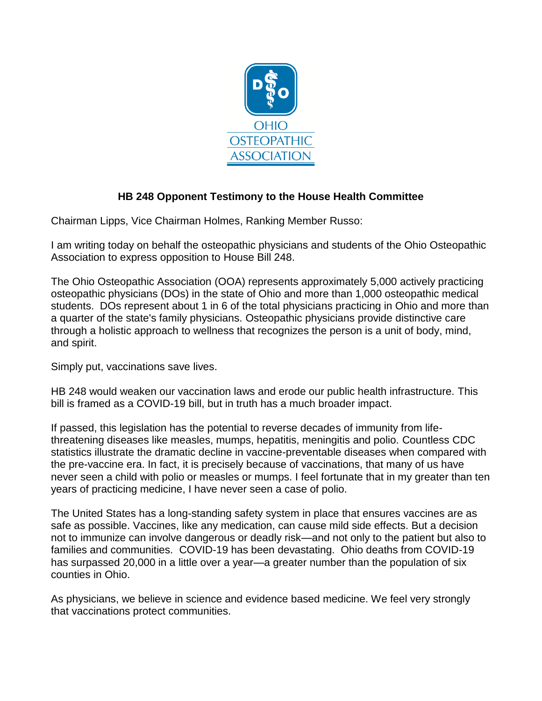

## **HB 248 Opponent Testimony to the House Health Committee**

Chairman Lipps, Vice Chairman Holmes, Ranking Member Russo:

I am writing today on behalf the osteopathic physicians and students of the Ohio Osteopathic Association to express opposition to House Bill 248.

The Ohio Osteopathic Association (OOA) represents approximately 5,000 actively practicing osteopathic physicians (DOs) in the state of Ohio and more than 1,000 osteopathic medical students. DOs represent about 1 in 6 of the total physicians practicing in Ohio and more than a quarter of the state's family physicians. Osteopathic physicians provide distinctive care through a holistic approach to wellness that recognizes the person is a unit of body, mind, and spirit.

Simply put, vaccinations save lives.

HB 248 would weaken our vaccination laws and erode our public health infrastructure. This bill is framed as a COVID-19 bill, but in truth has a much broader impact.

If passed, this legislation has the potential to reverse decades of immunity from lifethreatening diseases like measles, mumps, hepatitis, meningitis and polio. Countless CDC statistics illustrate the dramatic decline in vaccine-preventable diseases when compared with the pre-vaccine era. In fact, it is precisely because of vaccinations, that many of us have never seen a child with polio or measles or mumps. I feel fortunate that in my greater than ten years of practicing medicine, I have never seen a case of polio.

The United States has a long-standing safety system in place that ensures vaccines are as safe as possible. Vaccines, like any medication, can cause mild side effects. But a decision not to immunize can involve dangerous or deadly risk—and not only to the patient but also to families and communities. COVID-19 has been devastating. Ohio deaths from COVID-19 has surpassed 20,000 in a little over a year—a greater number than the population of six counties in Ohio.

As physicians, we believe in science and evidence based medicine. We feel very strongly that vaccinations protect communities.